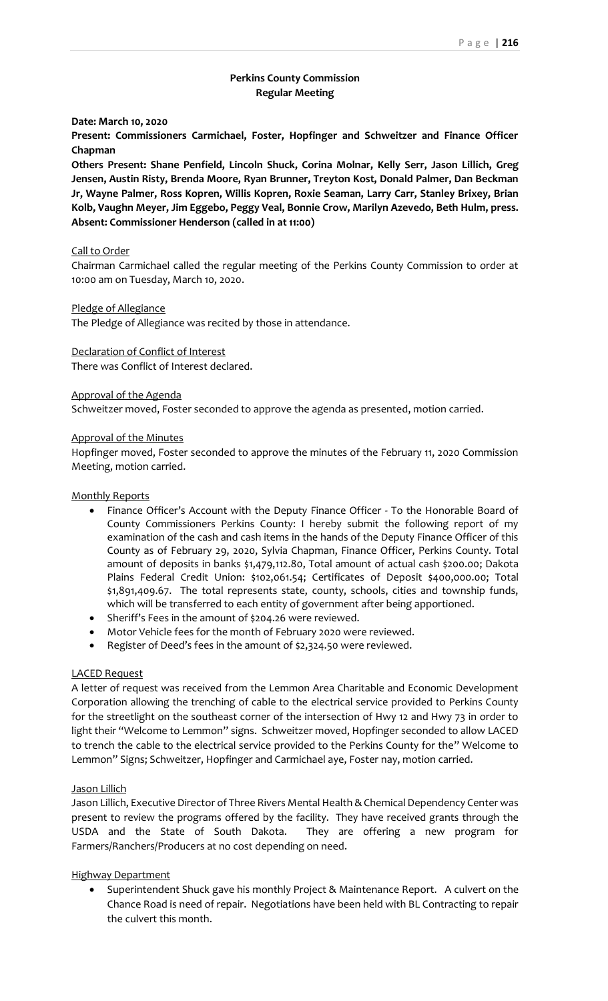# **Perkins County Commission Regular Meeting**

**Date: March 10, 2020**

**Present: Commissioners Carmichael, Foster, Hopfinger and Schweitzer and Finance Officer Chapman**

**Others Present: Shane Penfield, Lincoln Shuck, Corina Molnar, Kelly Serr, Jason Lillich, Greg Jensen, Austin Risty, Brenda Moore, Ryan Brunner, Treyton Kost, Donald Palmer, Dan Beckman Jr, Wayne Palmer, Ross Kopren, Willis Kopren, Roxie Seaman, Larry Carr, Stanley Brixey, Brian Kolb, Vaughn Meyer, Jim Eggebo, Peggy Veal, Bonnie Crow, Marilyn Azevedo, Beth Hulm, press. Absent: Commissioner Henderson (called in at 11:00)**

## Call to Order

Chairman Carmichael called the regular meeting of the Perkins County Commission to order at 10:00 am on Tuesday, March 10, 2020.

#### Pledge of Allegiance

The Pledge of Allegiance was recited by those in attendance.

## Declaration of Conflict of Interest

There was Conflict of Interest declared.

#### Approval of the Agenda

Schweitzer moved, Foster seconded to approve the agenda as presented, motion carried.

#### Approval of the Minutes

Hopfinger moved, Foster seconded to approve the minutes of the February 11, 2020 Commission Meeting, motion carried.

### Monthly Reports

- Finance Officer's Account with the Deputy Finance Officer To the Honorable Board of County Commissioners Perkins County: I hereby submit the following report of my examination of the cash and cash items in the hands of the Deputy Finance Officer of this County as of February 29, 2020, Sylvia Chapman, Finance Officer, Perkins County. Total amount of deposits in banks \$1,479,112.80, Total amount of actual cash \$200.00; Dakota Plains Federal Credit Union: \$102,061.54; Certificates of Deposit \$400,000.00; Total \$1,891,409.67. The total represents state, county, schools, cities and township funds, which will be transferred to each entity of government after being apportioned.
- Sheriff's Fees in the amount of \$204.26 were reviewed.
- Motor Vehicle fees for the month of February 2020 were reviewed.
- Register of Deed's fees in the amount of \$2,324.50 were reviewed.

### LACED Request

A letter of request was received from the Lemmon Area Charitable and Economic Development Corporation allowing the trenching of cable to the electrical service provided to Perkins County for the streetlight on the southeast corner of the intersection of Hwy 12 and Hwy 73 in order to light their "Welcome to Lemmon" signs. Schweitzer moved, Hopfinger seconded to allow LACED to trench the cable to the electrical service provided to the Perkins County for the" Welcome to Lemmon" Signs; Schweitzer, Hopfinger and Carmichael aye, Foster nay, motion carried.

### Jason Lillich

Jason Lillich, Executive Director of Three Rivers Mental Health & Chemical Dependency Center was present to review the programs offered by the facility. They have received grants through the USDA and the State of South Dakota. They are offering a new program for Farmers/Ranchers/Producers at no cost depending on need.

### Highway Department

• Superintendent Shuck gave his monthly Project & Maintenance Report. A culvert on the Chance Road is need of repair. Negotiations have been held with BL Contracting to repair the culvert this month.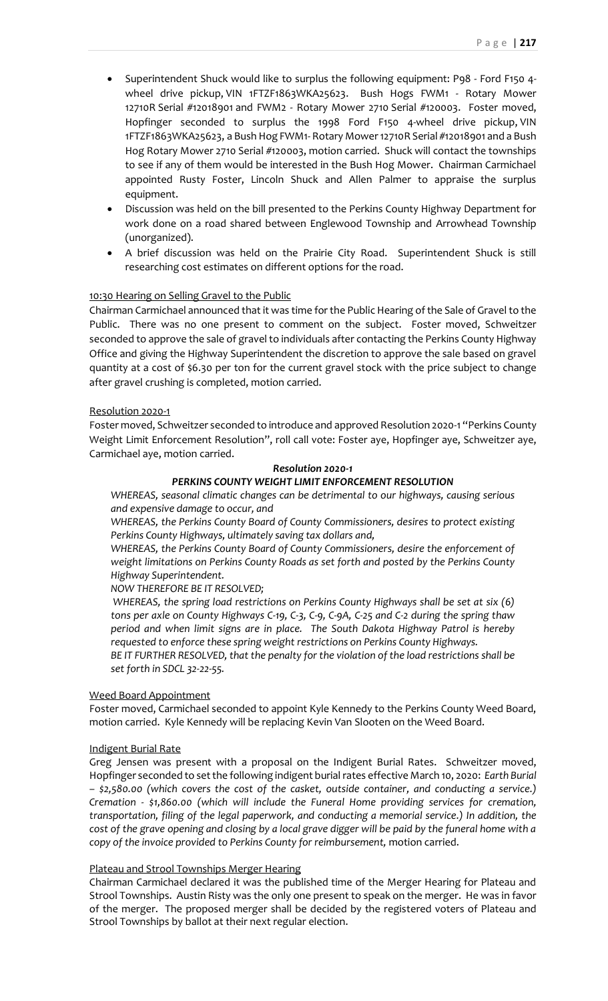- Superintendent Shuck would like to surplus the following equipment: P98 Ford F150 4 wheel drive pickup, VIN 1FTZF1863WKA25623. Bush Hogs FWM1 - Rotary Mower 12710R Serial #12018901 and FWM2 - Rotary Mower 2710 Serial #120003. Foster moved, Hopfinger seconded to surplus the 1998 Ford F150 4-wheel drive pickup, VIN 1FTZF1863WKA25623, a Bush Hog FWM1- Rotary Mower 12710R Serial #12018901 and a Bush Hog Rotary Mower 2710 Serial #120003, motion carried. Shuck will contact the townships to see if any of them would be interested in the Bush Hog Mower. Chairman Carmichael appointed Rusty Foster, Lincoln Shuck and Allen Palmer to appraise the surplus equipment.
- Discussion was held on the bill presented to the Perkins County Highway Department for work done on a road shared between Englewood Township and Arrowhead Township (unorganized).
- A brief discussion was held on the Prairie City Road. Superintendent Shuck is still researching cost estimates on different options for the road.

### 10:30 Hearing on Selling Gravel to the Public

Chairman Carmichael announced that it was time for the Public Hearing of the Sale of Gravel to the Public. There was no one present to comment on the subject. Foster moved, Schweitzer seconded to approve the sale of gravel to individuals after contacting the Perkins County Highway Office and giving the Highway Superintendent the discretion to approve the sale based on gravel quantity at a cost of \$6.30 per ton for the current gravel stock with the price subject to change after gravel crushing is completed, motion carried.

### Resolution 2020-1

Foster moved, Schweitzer seconded to introduce and approved Resolution 2020-1 "Perkins County Weight Limit Enforcement Resolution", roll call vote: Foster aye, Hopfinger aye, Schweitzer aye, Carmichael aye, motion carried.

## *Resolution 2020-1*

# *PERKINS COUNTY WEIGHT LIMIT ENFORCEMENT RESOLUTION*

*WHEREAS, seasonal climatic changes can be detrimental to our highways, causing serious and expensive damage to occur, and*

*WHEREAS, the Perkins County Board of County Commissioners, desires to protect existing Perkins County Highways, ultimately saving tax dollars and,*

*WHEREAS, the Perkins County Board of County Commissioners, desire the enforcement of weight limitations on Perkins County Roads as set forth and posted by the Perkins County Highway Superintendent.*

## *NOW THEREFORE BE IT RESOLVED;*

*WHEREAS, the spring load restrictions on Perkins County Highways shall be set at six (6) tons per axle on County Highways C-19, C-3, C-9, C-9A, C-25 and C-2 during the spring thaw period and when limit signs are in place. The South Dakota Highway Patrol is hereby requested to enforce these spring weight restrictions on Perkins County Highways.*

*BE IT FURTHER RESOLVED, that the penalty for the violation of the load restrictions shall be set forth in SDCL 32-22-55.*

### Weed Board Appointment

Foster moved, Carmichael seconded to appoint Kyle Kennedy to the Perkins County Weed Board, motion carried. Kyle Kennedy will be replacing Kevin Van Slooten on the Weed Board.

### Indigent Burial Rate

Greg Jensen was present with a proposal on the Indigent Burial Rates. Schweitzer moved, Hopfinger seconded to set the following indigent burial rates effective March 10, 2020: *Earth Burial – \$2,580.00 (which covers the cost of the casket, outside container, and conducting a service.) Cremation - \$1,860.00 (which will include the Funeral Home providing services for cremation, transportation, filing of the legal paperwork, and conducting a memorial service.) In addition, the cost of the grave opening and closing by a local grave digger will be paid by the funeral home with a copy of the invoice provided to Perkins County for reimbursement,* motion carried.

### Plateau and Strool Townships Merger Hearing

Chairman Carmichael declared it was the published time of the Merger Hearing for Plateau and Strool Townships. Austin Risty was the only one present to speak on the merger. He was in favor of the merger. The proposed merger shall be decided by the registered voters of Plateau and Strool Townships by ballot at their next regular election.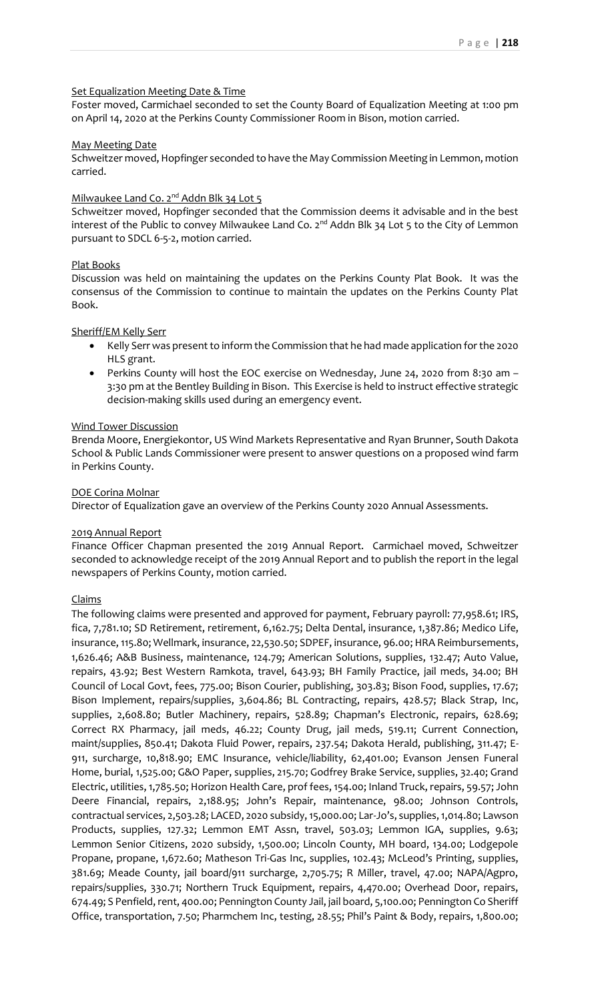## Set Equalization Meeting Date & Time

Foster moved, Carmichael seconded to set the County Board of Equalization Meeting at 1:00 pm on April 14, 2020 at the Perkins County Commissioner Room in Bison, motion carried.

### May Meeting Date

Schweitzer moved, Hopfinger seconded to have the May Commission Meeting in Lemmon, motion carried.

# Milwaukee Land Co. 2<sup>nd</sup> Addn Blk 34 Lot 5

Schweitzer moved, Hopfinger seconded that the Commission deems it advisable and in the best interest of the Public to convey Milwaukee Land Co. 2<sup>nd</sup> Addn Blk 34 Lot 5 to the City of Lemmon pursuant to SDCL 6-5-2, motion carried.

## Plat Books

Discussion was held on maintaining the updates on the Perkins County Plat Book. It was the consensus of the Commission to continue to maintain the updates on the Perkins County Plat Book.

## Sheriff/EM Kelly Serr

- Kelly Serr was present to inform the Commission that he had made application for the 2020 HLS grant.
- Perkins County will host the EOC exercise on Wednesday, June 24, 2020 from 8:30 am 3:30 pm at the Bentley Building in Bison. This Exercise is held to instruct effective strategic decision-making skills used during an emergency event.

## Wind Tower Discussion

Brenda Moore, Energiekontor, US Wind Markets Representative and Ryan Brunner, South Dakota School & Public Lands Commissioner were present to answer questions on a proposed wind farm in Perkins County.

## DOE Corina Molnar

Director of Equalization gave an overview of the Perkins County 2020 Annual Assessments.

### 2019 Annual Report

Finance Officer Chapman presented the 2019 Annual Report. Carmichael moved, Schweitzer seconded to acknowledge receipt of the 2019 Annual Report and to publish the report in the legal newspapers of Perkins County, motion carried.

## Claims

The following claims were presented and approved for payment, February payroll: 77,958.61; IRS, fica, 7,781.10; SD Retirement, retirement, 6,162.75; Delta Dental, insurance, 1,387.86; Medico Life, insurance, 115.80; Wellmark, insurance, 22,530.50; SDPEF, insurance, 96.00; HRA Reimbursements, 1,626.46; A&B Business, maintenance, 124.79; American Solutions, supplies, 132.47; Auto Value, repairs, 43.92; Best Western Ramkota, travel, 643.93; BH Family Practice, jail meds, 34.00; BH Council of Local Govt, fees, 775.00; Bison Courier, publishing, 303.83; Bison Food, supplies, 17.67; Bison Implement, repairs/supplies, 3,604.86; BL Contracting, repairs, 428.57; Black Strap, Inc, supplies, 2,608.80; Butler Machinery, repairs, 528.89; Chapman's Electronic, repairs, 628.69; Correct RX Pharmacy, jail meds, 46.22; County Drug, jail meds, 519.11; Current Connection, maint/supplies, 850.41; Dakota Fluid Power, repairs, 237.54; Dakota Herald, publishing, 311.47; E-911, surcharge, 10,818.90; EMC Insurance, vehicle/liability, 62,401.00; Evanson Jensen Funeral Home, burial, 1,525.00; G&O Paper, supplies, 215.70; Godfrey Brake Service, supplies, 32.40; Grand Electric, utilities, 1,785.50; Horizon Health Care, prof fees, 154.00; Inland Truck, repairs, 59.57; John Deere Financial, repairs, 2,188.95; John's Repair, maintenance, 98.00; Johnson Controls, contractual services, 2,503.28; LACED, 2020 subsidy, 15,000.00; Lar-Jo's, supplies, 1,014.80; Lawson Products, supplies, 127.32; Lemmon EMT Assn, travel, 503.03; Lemmon IGA, supplies, 9.63; Lemmon Senior Citizens, 2020 subsidy, 1,500.00; Lincoln County, MH board, 134.00; Lodgepole Propane, propane, 1,672.60; Matheson Tri-Gas Inc, supplies, 102.43; McLeod's Printing, supplies, 381.69; Meade County, jail board/911 surcharge, 2,705.75; R Miller, travel, 47.00; NAPA/Agpro, repairs/supplies, 330.71; Northern Truck Equipment, repairs, 4,470.00; Overhead Door, repairs, 674.49; S Penfield, rent, 400.00; Pennington County Jail, jail board, 5,100.00; Pennington Co Sheriff Office, transportation, 7.50; Pharmchem Inc, testing, 28.55; Phil's Paint & Body, repairs, 1,800.00;